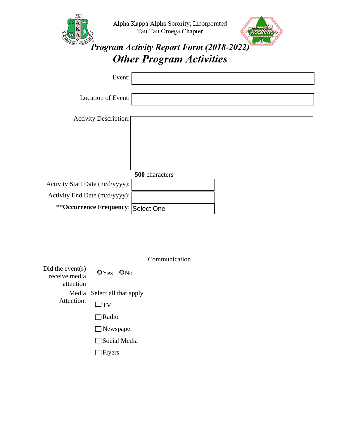|                                     | Alpha Kappa Alpha Sorority, Incorporated<br>Tau Tau Omega Chapter<br><b>Program Activity Report Form (2018-2022)</b> |  |
|-------------------------------------|----------------------------------------------------------------------------------------------------------------------|--|
|                                     | <b>Other Program Activities</b>                                                                                      |  |
| Event:                              |                                                                                                                      |  |
| Location of Event:                  |                                                                                                                      |  |
| <b>Activity Description:</b>        |                                                                                                                      |  |
|                                     |                                                                                                                      |  |
|                                     | 500 characters                                                                                                       |  |
| Activity Start Date (m/d/yyyy):     |                                                                                                                      |  |
| Activity End Date (m/d/yyyy):       |                                                                                                                      |  |
| ** Occurrence Frequency: Select One |                                                                                                                      |  |

|                                                |                             | Communication |
|------------------------------------------------|-----------------------------|---------------|
| Did the event(s)<br>receive media<br>attention | $OYes$ $ON0$                |               |
|                                                | Media Select all that apply |               |
| Attention:                                     | $\Box$ tv                   |               |
|                                                | Radio                       |               |
|                                                | $\Box$ Newspaper            |               |
|                                                | $\Box$ Social Media         |               |
|                                                | <b>Flyers</b>               |               |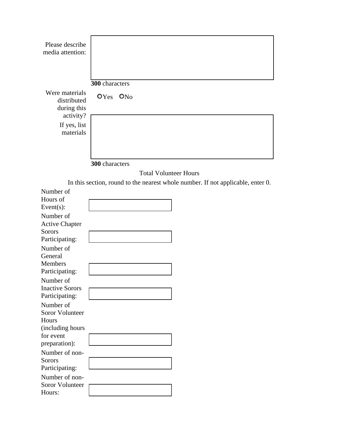| Please describe<br>media attention:          |                                                                                 |  |
|----------------------------------------------|---------------------------------------------------------------------------------|--|
| Were materials<br>distributed<br>during this | 300 characters<br>OYes<br>O <sub>No</sub>                                       |  |
| activity?<br>If yes, list<br>materials       |                                                                                 |  |
|                                              | 300 characters                                                                  |  |
|                                              | <b>Total Volunteer Hours</b>                                                    |  |
| Number of                                    | In this section, round to the nearest whole number. If not applicable, enter 0. |  |
| Hours of<br>Event $(s)$ :                    |                                                                                 |  |
| Number of                                    |                                                                                 |  |
| <b>Active Chapter</b>                        |                                                                                 |  |
| Sorors                                       |                                                                                 |  |
| Participating:<br>Number of                  |                                                                                 |  |
| General                                      |                                                                                 |  |
| <b>Members</b>                               |                                                                                 |  |
| Participating:                               |                                                                                 |  |
| Number of<br><b>Inactive Sorors</b>          |                                                                                 |  |
| Participating:                               |                                                                                 |  |
| Number of                                    |                                                                                 |  |
| Soror Volunteer                              |                                                                                 |  |
| Hours<br>(including hours                    |                                                                                 |  |
| for event                                    |                                                                                 |  |
| preparation):                                |                                                                                 |  |
| Number of non-                               |                                                                                 |  |
| Sorors<br>Participating:                     |                                                                                 |  |
| Number of non-                               |                                                                                 |  |
| Soror Volunteer                              |                                                                                 |  |
| Hours:                                       |                                                                                 |  |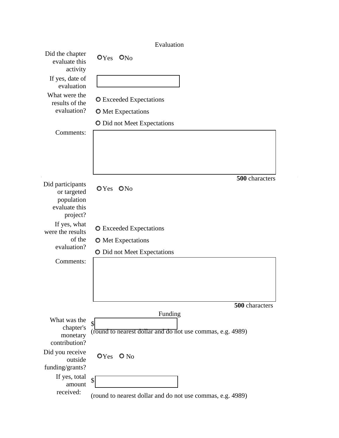## Evaluation

| Did the chapter<br>evaluate this<br>activity                               | $OYes$ $ONo$                                                     |
|----------------------------------------------------------------------------|------------------------------------------------------------------|
| If yes, date of<br>evaluation                                              |                                                                  |
| What were the<br>results of the                                            | <b>O</b> Exceeded Expectations                                   |
| evaluation?                                                                | <b>O</b> Met Expectations                                        |
|                                                                            | <b>O</b> Did not Meet Expectations                               |
| Comments:                                                                  |                                                                  |
|                                                                            | 500 characters                                                   |
| Did participants<br>or targeted<br>population<br>evaluate this<br>project? | OYes ONo                                                         |
| If yes, what<br>were the results                                           | <b>O</b> Exceeded Expectations                                   |
| of the                                                                     | <b>O</b> Met Expectations                                        |
| evaluation?                                                                | <b>O</b> Did not Meet Expectations                               |
| Comments:                                                                  |                                                                  |
|                                                                            | 500 characters                                                   |
|                                                                            | Funding                                                          |
| What was the<br>chapter's<br>monetary<br>contribution?                     | \$<br>(round to nearest dollar and do not use commas, e.g. 4989) |
| Did you receive<br>outside                                                 | $OYes$ $O No$                                                    |
| funding/grants?<br>If yes, total                                           |                                                                  |
| amount                                                                     | \$                                                               |
| received:                                                                  | (round to nearest dollar and do not use commas, e.g. 4989)       |

 $\sim$